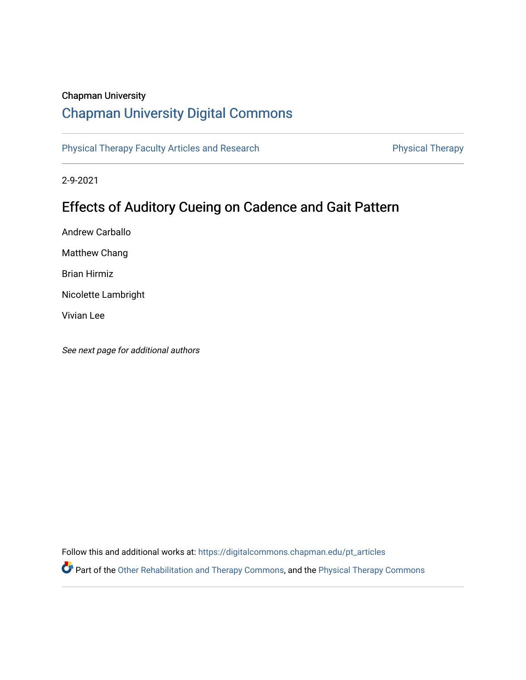## Chapman University

# [Chapman University Digital Commons](https://digitalcommons.chapman.edu/)

[Physical Therapy Faculty Articles and Research](https://digitalcommons.chapman.edu/pt_articles) **Physical Therapy** Physical Therapy

2-9-2021

# Effects of Auditory Cueing on Cadence and Gait Pattern

Andrew Carballo

Matthew Chang

Brian Hirmiz

Nicolette Lambright

Vivian Lee

See next page for additional authors

Follow this and additional works at: [https://digitalcommons.chapman.edu/pt\\_articles](https://digitalcommons.chapman.edu/pt_articles?utm_source=digitalcommons.chapman.edu%2Fpt_articles%2F144&utm_medium=PDF&utm_campaign=PDFCoverPages) 

Part of the [Other Rehabilitation and Therapy Commons,](http://network.bepress.com/hgg/discipline/758?utm_source=digitalcommons.chapman.edu%2Fpt_articles%2F144&utm_medium=PDF&utm_campaign=PDFCoverPages) and the [Physical Therapy Commons](http://network.bepress.com/hgg/discipline/754?utm_source=digitalcommons.chapman.edu%2Fpt_articles%2F144&utm_medium=PDF&utm_campaign=PDFCoverPages)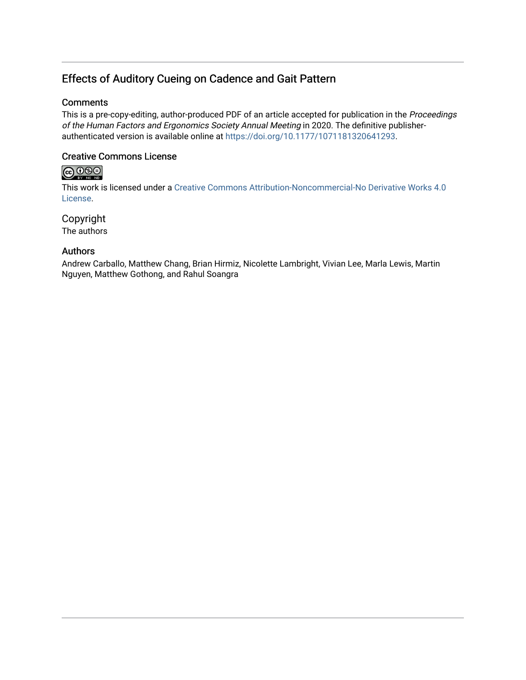# Effects of Auditory Cueing on Cadence and Gait Pattern

### **Comments**

This is a pre-copy-editing, author-produced PDF of an article accepted for publication in the Proceedings of the Human Factors and Ergonomics Society Annual Meeting in 2020. The definitive publisherauthenticated version is available online at <https://doi.org/10.1177/1071181320641293>.

### Creative Commons License

# $\bigoplus_{\text{ev}}\bigoplus_{\text{ev}}\bigoplus_{\text{ve}}$

This work is licensed under a [Creative Commons Attribution-Noncommercial-No Derivative Works 4.0](https://creativecommons.org/licenses/by-nc-nd/4.0/) [License](https://creativecommons.org/licenses/by-nc-nd/4.0/).

Copyright The authors

### Authors

Andrew Carballo, Matthew Chang, Brian Hirmiz, Nicolette Lambright, Vivian Lee, Marla Lewis, Martin Nguyen, Matthew Gothong, and Rahul Soangra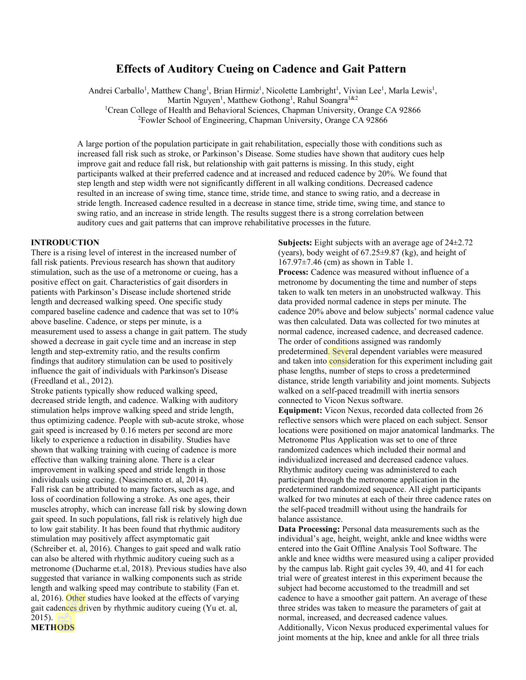### **Effects of Auditory Cueing on Cadence and Gait Pattern**

Andrei Carballo<sup>1</sup>, Matthew Chang<sup>1</sup>, Brian Hirmiz<sup>1</sup>, Nicolette Lambright<sup>1</sup>, Vivian Lee<sup>1</sup>, Marla Lewis<sup>1</sup>,

Martin Nguyen<sup>1</sup>, Matthew Gothong<sup>1</sup>, Rahul Soangra<sup>1&2</sup>

<sup>1</sup>Crean College of Health and Behavioral Sciences, Chapman University, Orange CA 92866

<sup>2</sup>Fowler School of Engineering, Chapman University, Orange CA 92866

A large portion of the population participate in gait rehabilitation, especially those with conditions such as increased fall risk such as stroke, or Parkinson's Disease. Some studies have shown that auditory cues help improve gait and reduce fall risk, but relationship with gait patterns is missing. In this study, eight participants walked at their preferred cadence and at increased and reduced cadence by 20%. We found that step length and step width were not significantly different in all walking conditions. Decreased cadence resulted in an increase of swing time, stance time, stride time, and stance to swing ratio, and a decrease in stride length. Increased cadence resulted in a decrease in stance time, stride time, swing time, and stance to swing ratio, and an increase in stride length. The results suggest there is a strong correlation between auditory cues and gait patterns that can improve rehabilitative processes in the future.

#### **INTRODUCTION**

There is a rising level of interest in the increased number of fall risk patients. Previous research has shown that auditory stimulation, such as the use of a metronome or cueing, has a positive effect on gait. Characteristics of gait disorders in patients with Parkinson's Disease include shortened stride length and decreased walking speed. One specific study compared baseline cadence and cadence that was set to 10% above baseline. Cadence, or steps per minute, is a measurement used to assess a change in gait pattern. The study showed a decrease in gait cycle time and an increase in step length and step-extremity ratio, and the results confirm findings that auditory stimulation can be used to positively influence the gait of individuals with Parkinson's Disease (Freedland et al., 2012).

Stroke patients typically show reduced walking speed, decreased stride length, and cadence. Walking with auditory stimulation helps improve walking speed and stride length, thus optimizing cadence. People with sub-acute stroke, whose gait speed is increased by 0.16 meters per second are more likely to experience a reduction in disability. Studies have shown that walking training with cueing of cadence is more effective than walking training alone. There is a clear improvement in walking speed and stride length in those individuals using cueing. (Nascimento et. al, 2014). Fall risk can be attributed to many factors, such as age, and loss of coordination following a stroke. As one ages, their muscles atrophy, which can increase fall risk by slowing down gait speed. In such populations, fall risk is relatively high due to low gait stability. It has been found that rhythmic auditory stimulation may positively affect asymptomatic gait (Schreiber et. al, 2016). Changes to gait speed and walk ratio can also be altered with rhythmic auditory cueing such as a metronome (Ducharme et.al, 2018). Previous studies have also suggested that variance in walking components such as stride length and walking speed may contribute to stability (Fan et. al, 2016). Other studies have looked at the effects of varying gait cadences driven by rhythmic auditory cueing (Yu et. al, 2015).

**Subjects:** Eight subjects with an average age of 24±2.72 (years), body weight of  $67.25\pm9.87$  (kg), and height of 167.97±7.46 (cm) as shown in Table 1. **Process:** Cadence was measured without influence of a metronome by documenting the time and number of steps taken to walk ten meters in an unobstructed walkway. This data provided normal cadence in steps per minute. The cadence 20% above and below subjects' normal cadence value was then calculated. Data was collected for two minutes at normal cadence, increased cadence, and decreased cadence. The order of conditions assigned was randomly predetermined. Several dependent variables were measured and taken into consideration for this experiment including gait phase lengths, number of steps to cross a predetermined distance, stride length variability and joint moments. Subjects walked on a self-paced treadmill with inertia sensors connected to Vicon Nexus software.

**Equipment:** Vicon Nexus, recorded data collected from 26 reflective sensors which were placed on each subject. Sensor locations were positioned on major anatomical landmarks. The Metronome Plus Application was set to one of three randomized cadences which included their normal and individualized increased and decreased cadence values. Rhythmic auditory cueing was administered to each participant through the metronome application in the predetermined randomized sequence. All eight participants walked for two minutes at each of their three cadence rates on the self-paced treadmill without using the handrails for balance assistance.

**Data Processing:** Personal data measurements such as the individual's age, height, weight, ankle and knee widths were entered into the Gait Offline Analysis Tool Software. The ankle and knee widths were measured using a caliper provided by the campus lab. Right gait cycles 39, 40, and 41 for each trial were of greatest interest in this experiment because the subject had become accustomed to the treadmill and set cadence to have a smoother gait pattern. An average of these three strides was taken to measure the parameters of gait at normal, increased, and decreased cadence values. Additionally, Vicon Nexus produced experimental values for joint moments at the hip, knee and ankle for all three trials

#### **METHODS**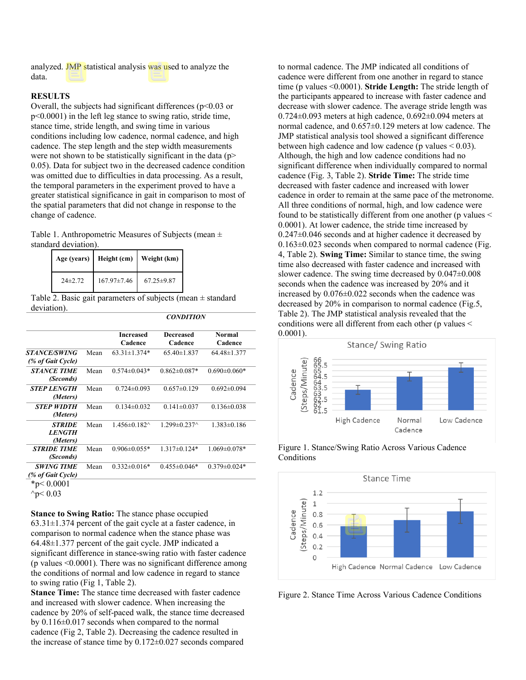analyzed. JMP statistical analysis was used to analyze the data.

#### **RESULTS**

Overall, the subjects had significant differences ( $p$ <0.03 or p<0.0001) in the left leg stance to swing ratio, stride time, stance time, stride length, and swing time in various conditions including low cadence, normal cadence, and high cadence. The step length and the step width measurements were not shown to be statistically significant in the data (p> 0.05). Data for subject two in the decreased cadence condition was omitted due to difficulties in data processing. As a result, the temporal parameters in the experiment proved to have a greater statistical significance in gait in comparison to most of the spatial parameters that did not change in response to the change of cadence.

Table 1. Anthropometric Measures of Subjects (mean ± standard deviation).

|              |             | Age (years) Height (cm) Weight (km) |
|--------------|-------------|-------------------------------------|
| $24\pm 2.72$ | 167.97±7.46 | $67.25 \pm 9.87$                    |

Table 2. Basic gait parameters of subjects (mean  $\pm$  standard deviation).

| <i><b>CONDITION</b></i> |  |
|-------------------------|--|
|-------------------------|--|

|                                                 |      | <b>Increased</b><br>Cadence | Decreased<br>Cadence | <b>Normal</b><br>Cadence |
|-------------------------------------------------|------|-----------------------------|----------------------|--------------------------|
| <i><b>STANCE/SWING</b></i><br>(% of Gait Cycle) | Mean | $63.31 \pm 1.374*$          | $65.40 \pm 1.837$    | $64.48 \pm 1.377$        |
| <b>STANCE TIME</b><br>(Seconds)                 | Mean | $0.574 \pm 0.043*$          | $0.862 \pm 0.087*$   | $0.690\pm0.060*$         |
| <i><b>STEP LENGTH</b></i><br>(Meters)           | Mean | $0.724 \pm 0.093$           | $0.657 \pm 0.129$    | $0.692 \pm 0.094$        |
| <b>STEP WIDTH</b><br>(Meters)                   | Mean | $0.134 \pm 0.032$           | $0.141 \pm 0.037$    | $0.136 \pm 0.038$        |
| <b>STRIDE</b><br><b>LENGTH</b><br>(Meters)      | Mean | $1.456 \pm 0.182$           | $1.299 \pm 0.237$    | $1.383 \pm 0.186$        |
| <b>STRIDE TIME</b><br>(Seconds)                 | Mean | $0.906 \pm 0.055*$          | $1.317\pm0.124*$     | $1.069 \pm 0.078*$       |
| <b>SWING TIME</b><br>(% of Gait Cycle)          | Mean | $0.332 \pm 0.016*$          | $0.455 \pm 0.046*$   | $0.379 \pm 0.024*$       |
| $*_p < 0.0001$                                  |      |                             |                      |                          |

 $\gamma p < 0.03$ 

**Stance to Swing Ratio:** The stance phase occupied  $63.31\pm1.374$  percent of the gait cycle at a faster cadence, in comparison to normal cadence when the stance phase was 64.48±1.377 percent of the gait cycle. JMP indicated a significant difference in stance-swing ratio with faster cadence (p values <0.0001). There was no significant difference among the conditions of normal and low cadence in regard to stance to swing ratio (Fig 1, Table 2).

**Stance Time:** The stance time decreased with faster cadence and increased with slower cadence. When increasing the cadence by 20% of self-paced walk, the stance time decreased by 0.116±0.017 seconds when compared to the normal cadence (Fig 2, Table 2). Decreasing the cadence resulted in the increase of stance time by 0.172±0.027 seconds compared to normal cadence. The JMP indicated all conditions of cadence were different from one another in regard to stance time (p values <0.0001). **Stride Length:** The stride length of the participants appeared to increase with faster cadence and decrease with slower cadence. The average stride length was  $0.724\pm0.093$  meters at high cadence,  $0.692\pm0.094$  meters at normal cadence, and 0.657±0.129 meters at low cadence. The JMP statistical analysis tool showed a significant difference between high cadence and low cadence (p values  $< 0.03$ ). Although, the high and low cadence conditions had no significant difference when individually compared to normal cadence (Fig. 3, Table 2). **Stride Time:** The stride time decreased with faster cadence and increased with lower cadence in order to remain at the same pace of the metronome. All three conditions of normal, high, and low cadence were found to be statistically different from one another (p values < 0.0001). At lower cadence, the stride time increased by  $0.247\pm0.046$  seconds and at higher cadence it decreased by  $0.163\pm0.023$  seconds when compared to normal cadence (Fig. 4, Table 2). **Swing Time:** Similar to stance time, the swing time also decreased with faster cadence and increased with slower cadence. The swing time decreased by  $0.047 \pm 0.008$ seconds when the cadence was increased by 20% and it increased by 0.076±0.022 seconds when the cadence was decreased by 20% in comparison to normal cadence (Fig.5, Table 2). The JMP statistical analysis revealed that the conditions were all different from each other (p values < 0.0001).



Figure 1. Stance/Swing Ratio Across Various Cadence Conditions



Figure 2. Stance Time Across Various Cadence Conditions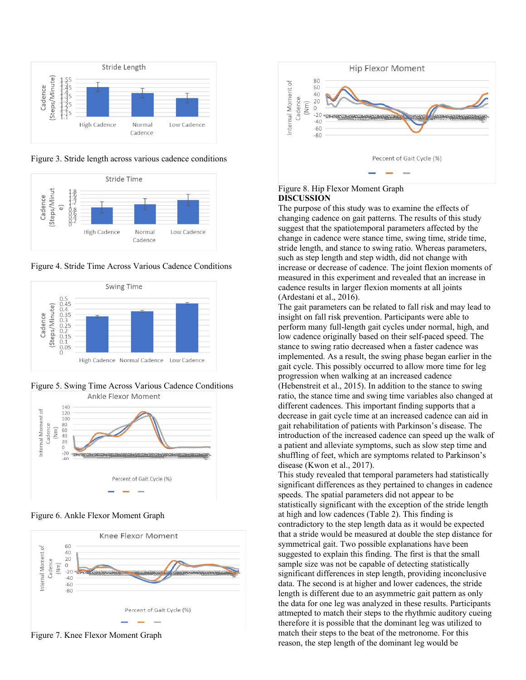

Figure 3. Stride length across various cadence conditions



Figure 4. Stride Time Across Various Cadence Conditions



Figure 5. Swing Time Across Various Cadence Conditions<br>Ankle Flexor Moment



Figure 6. Ankle Flexor Moment Graph



Figure 7. Knee Flexor Moment Graph



#### Figure 8. Hip Flexor Moment Graph **DISCUSSION**

The purpose of this study was to examine the effects of changing cadence on gait patterns. The results of this study suggest that the spatiotemporal parameters affected by the change in cadence were stance time, swing time, stride time, stride length, and stance to swing ratio. Whereas parameters, such as step length and step width, did not change with increase or decrease of cadence. The joint flexion moments of measured in this experiment and revealed that an increase in cadence results in larger flexion moments at all joints (Ardestani et al., 2016).

The gait parameters can be related to fall risk and may lead to insight on fall risk prevention. Participants were able to perform many full-length gait cycles under normal, high, and low cadence originally based on their self-paced speed. The stance to swing ratio decreased when a faster cadence was implemented. As a result, the swing phase began earlier in the gait cycle. This possibly occurred to allow more time for leg progression when walking at an increased cadence (Hebenstreit et al., 2015). In addition to the stance to swing ratio, the stance time and swing time variables also changed at different cadences. This important finding supports that a decrease in gait cycle time at an increased cadence can aid in gait rehabilitation of patients with Parkinson's disease. The introduction of the increased cadence can speed up the walk of a patient and alleviate symptoms, such as slow step time and shuffling of feet, which are symptoms related to Parkinson's disease (Kwon et al., 2017).

This study revealed that temporal parameters had statistically significant differences as they pertained to changes in cadence speeds. The spatial parameters did not appear to be statistically significant with the exception of the stride length at high and low cadences (Table 2). This finding is contradictory to the step length data as it would be expected that a stride would be measured at double the step distance for symmetrical gait. Two possible explanations have been suggested to explain this finding. The first is that the small sample size was not be capable of detecting statistically significant differences in step length, providing inconclusive data. The second is at higher and lower cadences, the stride length is different due to an asymmetric gait pattern as only the data for one leg was analyzed in these results. Participants attmepted to match their steps to the rhythmic auditory cueing therefore it is possible that the dominant leg was utilized to match their steps to the beat of the metronome. For this reason, the step length of the dominant leg would be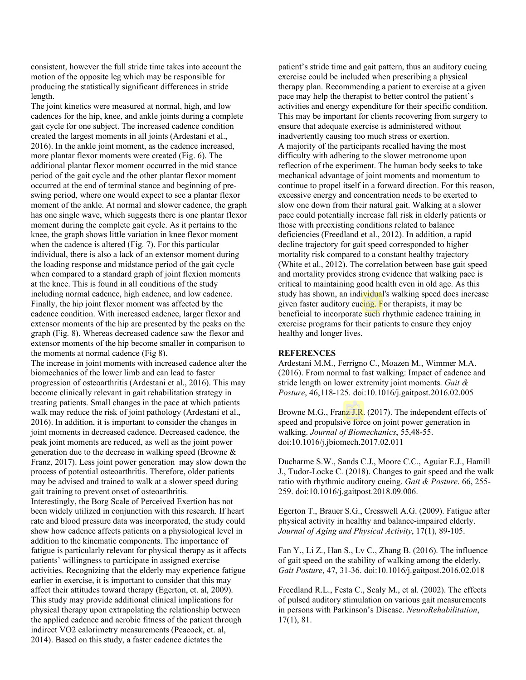consistent, however the full stride time takes into account the motion of the opposite leg which may be responsible for producing the statistically significant differences in stride length.

The joint kinetics were measured at normal, high, and low cadences for the hip, knee, and ankle joints during a complete gait cycle for one subject. The increased cadence condition created the largest moments in all joints (Ardestani et al., 2016). In the ankle joint moment, as the cadence increased, more plantar flexor moments were created (Fig. 6). The additional plantar flexor moment occurred in the mid stance period of the gait cycle and the other plantar flexor moment occurred at the end of terminal stance and beginning of preswing period, where one would expect to see a plantar flexor moment of the ankle. At normal and slower cadence, the graph has one single wave, which suggests there is one plantar flexor moment during the complete gait cycle. As it pertains to the knee, the graph shows little variation in knee flexor moment when the cadence is altered (Fig. 7). For this particular individual, there is also a lack of an extensor moment during the loading response and midstance period of the gait cycle when compared to a standard graph of joint flexion moments at the knee. This is found in all conditions of the study including normal cadence, high cadence, and low cadence. Finally, the hip joint flexor moment was affected by the cadence condition. With increased cadence, larger flexor and extensor moments of the hip are presented by the peaks on the graph (Fig. 8). Whereas decreased cadence saw the flexor and extensor moments of the hip become smaller in comparison to the moments at normal cadence (Fig 8).

The increase in joint moments with increased cadence alter the biomechanics of the lower limb and can lead to faster progression of osteoarthritis (Ardestani et al., 2016). This may become clinically relevant in gait rehabilitation strategy in treating patients. Small changes in the pace at which patients walk may reduce the risk of joint pathology (Ardestani et al., 2016). In addition, it is important to consider the changes in joint moments in decreased cadence. Decreased cadence, the peak joint moments are reduced, as well as the joint power generation due to the decrease in walking speed (Browne & Franz, 2017). Less joint power generation may slow down the process of potential osteoarthritis. Therefore, older patients may be advised and trained to walk at a slower speed during gait training to prevent onset of osteoarthritis. Interestingly, the Borg Scale of Perceived Exertion has not been widely utilized in conjunction with this research. If heart rate and blood pressure data was incorporated, the study could show how cadence affects patients on a physiological level in addition to the kinematic components. The importance of fatigue is particularly relevant for physical therapy as it affects patients' willingness to participate in assigned exercise activities. Recognizing that the elderly may experience fatigue earlier in exercise, it is important to consider that this may affect their attitudes toward therapy (Egerton, et. al, 2009). This study may provide additional clinical implications for physical therapy upon extrapolating the relationship between the applied cadence and aerobic fitness of the patient through indirect VO2 calorimetry measurements (Peacock, et. al, 2014). Based on this study, a faster cadence dictates the

patient's stride time and gait pattern, thus an auditory cueing exercise could be included when prescribing a physical therapy plan. Recommending a patient to exercise at a given pace may help the therapist to better control the patient's activities and energy expenditure for their specific condition. This may be important for clients recovering from surgery to ensure that adequate exercise is administered without inadvertently causing too much stress or exertion. A majority of the participants recalled having the most difficulty with adhering to the slower metronome upon reflection of the experiment. The human body seeks to take mechanical advantage of joint moments and momentum to continue to propel itself in a forward direction. For this reason, excessive energy and concentration needs to be exerted to slow one down from their natural gait. Walking at a slower pace could potentially increase fall risk in elderly patients or those with preexisting conditions related to balance deficiencies (Freedland et al., 2012). In addition, a rapid decline trajectory for gait speed corresponded to higher mortality risk compared to a constant healthy trajectory (White et al., 2012). The correlation between base gait speed and mortality provides strong evidence that walking pace is critical to maintaining good health even in old age. As this study has shown, an individual's walking speed does increase given faster auditory cueing. For therapists, it may be beneficial to incorporate such rhythmic cadence training in exercise programs for their patients to ensure they enjoy healthy and longer lives.

#### **REFERENCES**

Ardestani M.M., Ferrigno C., Moazen M., Wimmer M.A. (2016). From normal to fast walking: Impact of cadence and stride length on lower extremity joint moments. *Gait & Posture*, 46,118-125. doi:10.1016/j.gaitpost.2016.02.005

Browne M.G., Franz J.R. (2017). The independent effects of speed and propulsive force on joint power generation in walking. *Journal of Biomechanics*, 55,48-55. doi:10.1016/j.jbiomech.2017.02.011

Ducharme S.W., Sands C.J., Moore C.C., Aguiar E.J., Hamill J., Tudor-Locke C. (2018). Changes to gait speed and the walk ratio with rhythmic auditory cueing. *Gait & Posture*. 66, 255- 259. doi:10.1016/j.gaitpost.2018.09.006.

Egerton T., Brauer S.G., Cresswell A.G. (2009). Fatigue after physical activity in healthy and balance-impaired elderly. *Journal of Aging and Physical Activity*, 17(1), 89-105.

Fan Y., Li Z., Han S., Lv C., Zhang B. (2016). The influence of gait speed on the stability of walking among the elderly. *Gait Posture*, 47, 31-36. doi:10.1016/j.gaitpost.2016.02.018

Freedland R.L., Festa C., Sealy M., et al. (2002). The effects of pulsed auditory stimulation on various gait measurements in persons with Parkinson's Disease. *NeuroRehabilitation*, 17(1), 81.